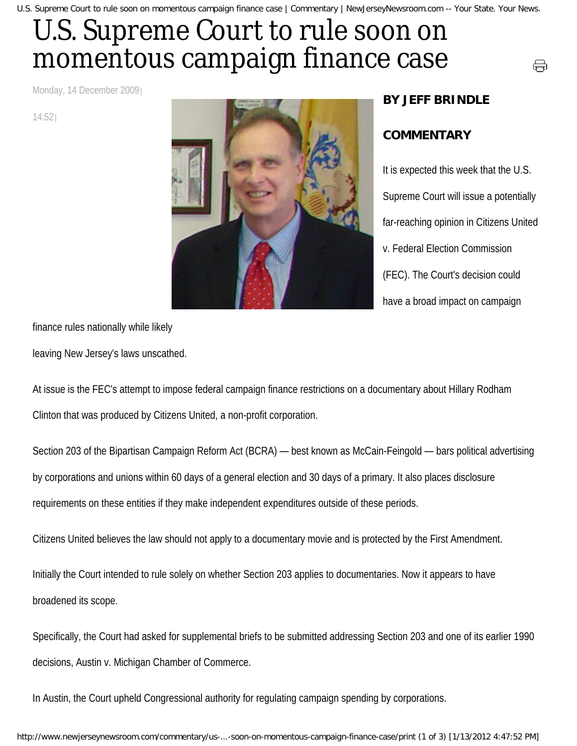U.S. Supreme Court to rule soon on momentous campaign finance case | Commentary | NewJerseyNewsroom.com -- Your State. Your News.

## U.S. Supreme Court to rule soon on momentous campaign finance case

Monday, 14 December 2009

14:52



## **BY JEFF BRINDLE**

⊖

## **COMMENTARY**

It is expected this week that the U.S. Supreme Court will issue a potentially far-reaching opinion in Citizens United v. Federal Election Commission (FEC). The Court's decision could have a broad impact on campaign

finance rules nationally while likely

leaving New Jersey's laws unscathed.

At issue is the FEC's attempt to impose federal campaign finance restrictions on a documentary about Hillary Rodham Clinton that was produced by Citizens United, a non-profit corporation.

Section 203 of the Bipartisan Campaign Reform Act (BCRA) — best known as McCain-Feingold — bars political advertising by corporations and unions within 60 days of a general election and 30 days of a primary. It also places disclosure requirements on these entities if they make independent expenditures outside of these periods.

Citizens United believes the law should not apply to a documentary movie and is protected by the First Amendment.

Initially the Court intended to rule solely on whether Section 203 applies to documentaries. Now it appears to have broadened its scope.

Specifically, the Court had asked for supplemental briefs to be submitted addressing Section 203 and one of its earlier 1990 decisions, Austin v. Michigan Chamber of Commerce.

In Austin, the Court upheld Congressional authority for regulating campaign spending by corporations.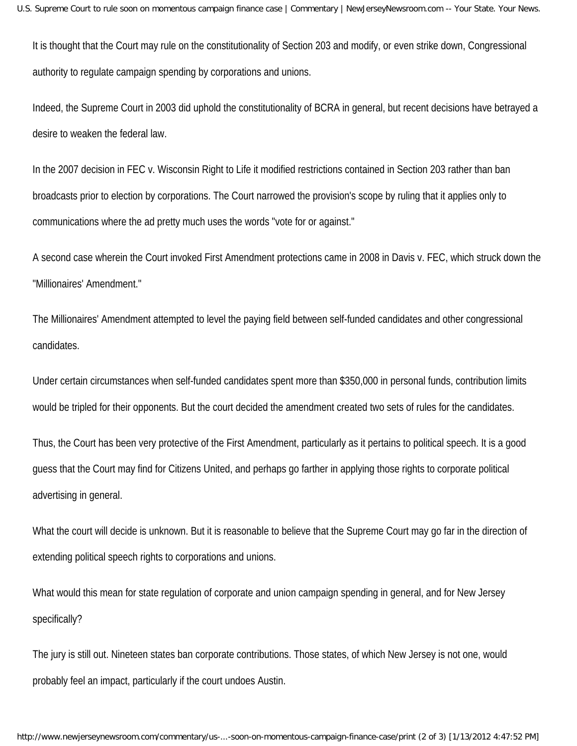U.S. Supreme Court to rule soon on momentous campaign finance case | Commentary | NewJerseyNewsroom.com -- Your State. Your News.

It is thought that the Court may rule on the constitutionality of Section 203 and modify, or even strike down, Congressional authority to regulate campaign spending by corporations and unions.

Indeed, the Supreme Court in 2003 did uphold the constitutionality of BCRA in general, but recent decisions have betrayed a desire to weaken the federal law.

In the 2007 decision in FEC v. Wisconsin Right to Life it modified restrictions contained in Section 203 rather than ban broadcasts prior to election by corporations. The Court narrowed the provision's scope by ruling that it applies only to communications where the ad pretty much uses the words "vote for or against."

A second case wherein the Court invoked First Amendment protections came in 2008 in Davis v. FEC, which struck down the "Millionaires' Amendment."

The Millionaires' Amendment attempted to level the paying field between self-funded candidates and other congressional candidates.

Under certain circumstances when self-funded candidates spent more than \$350,000 in personal funds, contribution limits would be tripled for their opponents. But the court decided the amendment created two sets of rules for the candidates.

Thus, the Court has been very protective of the First Amendment, particularly as it pertains to political speech. It is a good guess that the Court may find for Citizens United, and perhaps go farther in applying those rights to corporate political advertising in general.

What the court will decide is unknown. But it is reasonable to believe that the Supreme Court may go far in the direction of extending political speech rights to corporations and unions.

What would this mean for state regulation of corporate and union campaign spending in general, and for New Jersey specifically?

The jury is still out. Nineteen states ban corporate contributions. Those states, of which New Jersey is not one, would probably feel an impact, particularly if the court undoes Austin.